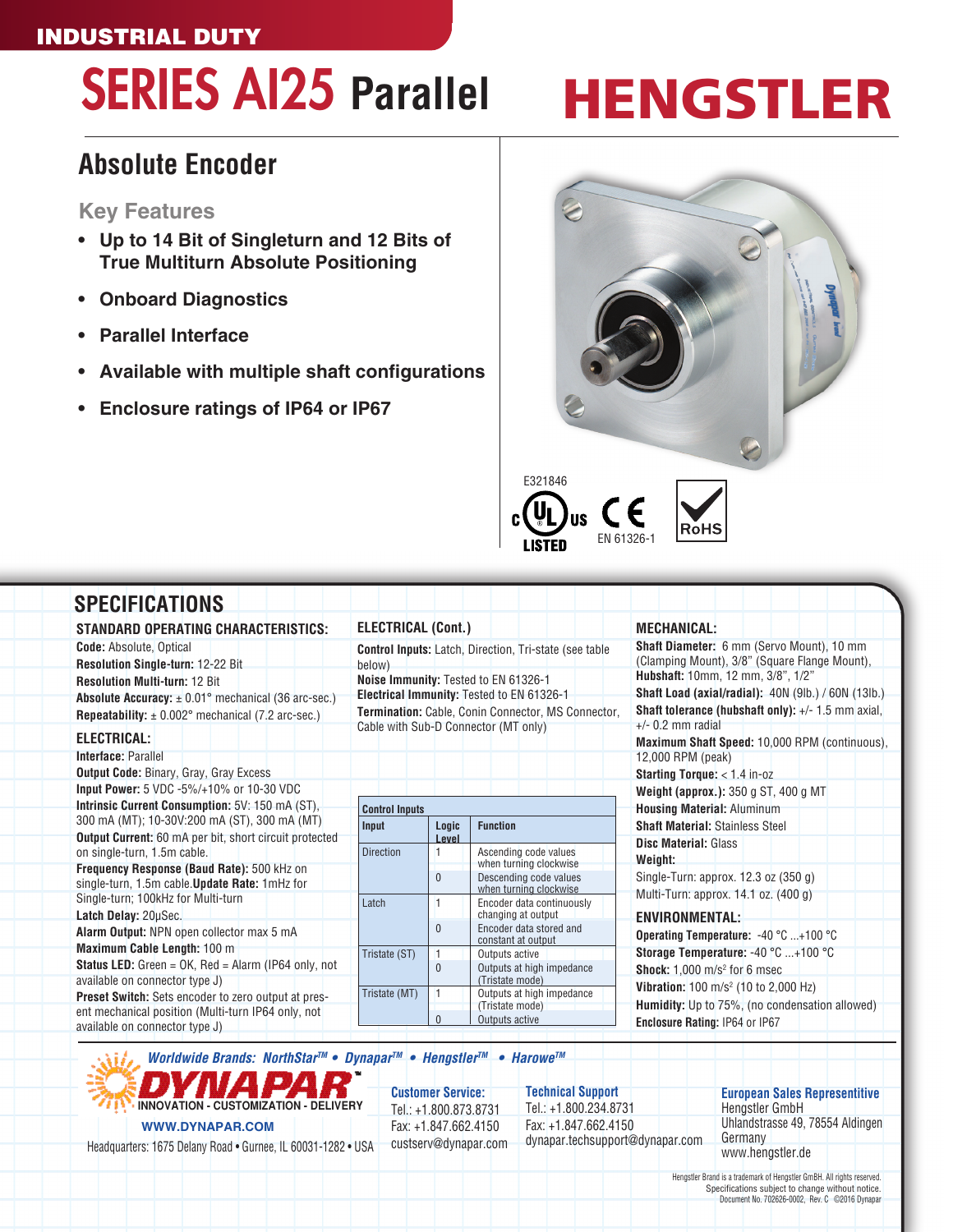#### INDUSTRIAL DUTY

## SERIES AI25 **Parallel**

## HENGSTLER

### **Absolute Encoder**

#### **Key Features**

- **• Up to 14 Bit of Singleturn and 12 Bits of True Multiturn Absolute Positioning**
- **• Onboard Diagnostics**
- **Parallel Interface**
- **• Available with multiple shaft configurations**
- **• Enclosure ratings of IP64 or IP67**



| STANDARD OPERATING CHARACTERISTICS:                                                                                                                                                                                                                                                                                                         | <b>ELECTRICAL (Cont.)</b> |          |                                                                                                                                                                                                                                                   | <b>MECHANICAL:</b>                                                                                                                                                                                                                                                                                                                                                                                        |  |
|---------------------------------------------------------------------------------------------------------------------------------------------------------------------------------------------------------------------------------------------------------------------------------------------------------------------------------------------|---------------------------|----------|---------------------------------------------------------------------------------------------------------------------------------------------------------------------------------------------------------------------------------------------------|-----------------------------------------------------------------------------------------------------------------------------------------------------------------------------------------------------------------------------------------------------------------------------------------------------------------------------------------------------------------------------------------------------------|--|
| <b>Code:</b> Absolute, Optical<br><b>Resolution Single-turn: 12-22 Bit</b><br><b>Resolution Multi-turn: 12 Bit</b><br><b>Absolute Accuracy:</b> $\pm$ 0.01° mechanical (36 arc-sec.)<br><b>Repeatability:</b> $\pm$ 0.002° mechanical (7.2 arc-sec.)<br>ELECTRICAL:<br>Interface: Parallel<br><b>Output Code: Binary, Gray, Gray Excess</b> | below)                    |          | <b>Control Inputs:</b> Latch, Direction, Tri-state (see table)<br>Noise Immunity: Tested to EN 61326-1<br>Electrical Immunity: Tested to EN 61326-1<br>Termination: Cable, Conin Connector, MS Connector,<br>Cable with Sub-D Connector (MT only) | <b>Shaft Diameter:</b> 6 mm (Servo Mount), 10 mm<br>(Clamping Mount), 3/8" (Square Flange Mount),<br>Hubshaft: 10mm, 12 mm, 3/8", 1/2"<br><b>Shaft Load (axial/radial): 40N (9lb.) / 60N (13lb.)</b><br><b>Shaft tolerance (hubshaft only):</b> $+/- 1.5$ mm axial,<br>$+/-$ 0.2 mm radial<br>Maximum Shaft Speed: 10,000 RPM (continuous),<br>12,000 RPM (peak)<br><b>Starting Torque:</b> $<$ 1.4 in-oz |  |
| Input Power: 5 VDC -5%/+10% or 10-30 VDC                                                                                                                                                                                                                                                                                                    |                           |          |                                                                                                                                                                                                                                                   | Weight (approx.): 350 g ST, 400 g MT                                                                                                                                                                                                                                                                                                                                                                      |  |
| Intrinsic Current Consumption: 5V: 150 mA (ST),                                                                                                                                                                                                                                                                                             | <b>Control Inputs</b>     |          |                                                                                                                                                                                                                                                   | <b>Housing Material: Aluminum</b>                                                                                                                                                                                                                                                                                                                                                                         |  |
| 300 mA (MT); 10-30V:200 mA (ST), 300 mA (MT)                                                                                                                                                                                                                                                                                                | Input                     | Logic    | <b>Function</b>                                                                                                                                                                                                                                   | <b>Shaft Material: Stainless Steel</b>                                                                                                                                                                                                                                                                                                                                                                    |  |
| <b>Output Current:</b> 60 mA per bit, short circuit protected                                                                                                                                                                                                                                                                               |                           | Level    |                                                                                                                                                                                                                                                   | <b>Disc Material: Glass</b>                                                                                                                                                                                                                                                                                                                                                                               |  |
| on single-turn, 1.5m cable.                                                                                                                                                                                                                                                                                                                 | <b>Direction</b>          |          | Ascending code values                                                                                                                                                                                                                             | Weight:                                                                                                                                                                                                                                                                                                                                                                                                   |  |
| Frequency Response (Baud Rate): 500 kHz on                                                                                                                                                                                                                                                                                                  |                           | $\theta$ | when turning clockwise<br>Descending code values                                                                                                                                                                                                  | Single-Turn: approx. 12.3 oz (350 g)                                                                                                                                                                                                                                                                                                                                                                      |  |
| single-turn, 1.5m cable. Update Rate: 1mHz for                                                                                                                                                                                                                                                                                              |                           |          | when turning clockwise                                                                                                                                                                                                                            | Multi-Turn: approx. 14.1 oz. (400 g)                                                                                                                                                                                                                                                                                                                                                                      |  |
| Single-turn; 100kHz for Multi-turn                                                                                                                                                                                                                                                                                                          | Latch                     |          | Encoder data continuously                                                                                                                                                                                                                         |                                                                                                                                                                                                                                                                                                                                                                                                           |  |
| Latch Delay: 20µSec.                                                                                                                                                                                                                                                                                                                        |                           | $\theta$ | changing at output<br>Encoder data stored and                                                                                                                                                                                                     | <b>ENVIRONMENTAL:</b>                                                                                                                                                                                                                                                                                                                                                                                     |  |
| Alarm Output: NPN open collector max 5 mA                                                                                                                                                                                                                                                                                                   |                           |          | constant at output                                                                                                                                                                                                                                | Operating Temperature: -40 °C +100 °C                                                                                                                                                                                                                                                                                                                                                                     |  |
| Maximum Cable Length: 100 m                                                                                                                                                                                                                                                                                                                 | Tristate (ST)             |          | Outputs active                                                                                                                                                                                                                                    | Storage Temperature: -40 °C +100 °C                                                                                                                                                                                                                                                                                                                                                                       |  |
| <b>Status LED:</b> Green = $OK$ , Red = Alarm (IP64 only, not                                                                                                                                                                                                                                                                               |                           | $\theta$ | Outputs at high impedance                                                                                                                                                                                                                         | <b>Shock:</b> $1.000$ m/s <sup>2</sup> for 6 msec                                                                                                                                                                                                                                                                                                                                                         |  |
| available on connector type J)                                                                                                                                                                                                                                                                                                              | Tristate (MT)             |          | (Tristate mode)<br>Outputs at high impedance                                                                                                                                                                                                      | Vibration: 100 m/s <sup>2</sup> (10 to 2,000 Hz)                                                                                                                                                                                                                                                                                                                                                          |  |
| <b>Preset Switch:</b> Sets encoder to zero output at pres-                                                                                                                                                                                                                                                                                  |                           |          | (Tristate mode)                                                                                                                                                                                                                                   | <b>Humidity:</b> Up to 75%, (no condensation allowed)                                                                                                                                                                                                                                                                                                                                                     |  |
| ent mechanical position (Multi-turn IP64 only, not<br>available on connector type J)                                                                                                                                                                                                                                                        |                           | $\Omega$ | Outputs active                                                                                                                                                                                                                                    | Enclosure Rating: IP64 or IP67                                                                                                                                                                                                                                                                                                                                                                            |  |

#### *Worldwide Brands: NorthStarTM* **• Dynapar***TM* **• Hengstler***TM* **• Harowe***TM*

**WWW.DYNAPAR.COM INNOVATION - CUSTOMIZATION - DELIVERY**

Headquarters: 1675 Delany Road • Gurnee, IL 60031-1282 • USA

**Customer Service:** Tel.: +1.800.873.8731 Fax: +1.847.662.4150 custserv@dynapar.com **Technical Support** Tel.: +1.800.234.8731 Fax: +1.847.662.4150 dynapar.techsupport@dynapar.com **European Sales Representitive** Hengstler GmbH Uhlandstrasse 49, 78554 Aldingen

**Germany** www.hengstler.de

Hengstler Brand is a trademark of Hengstler GmBH. All rights reserved. Specifications subject to change without notice. Document No. 702626-0002, Rev. C ©2016 Dynapar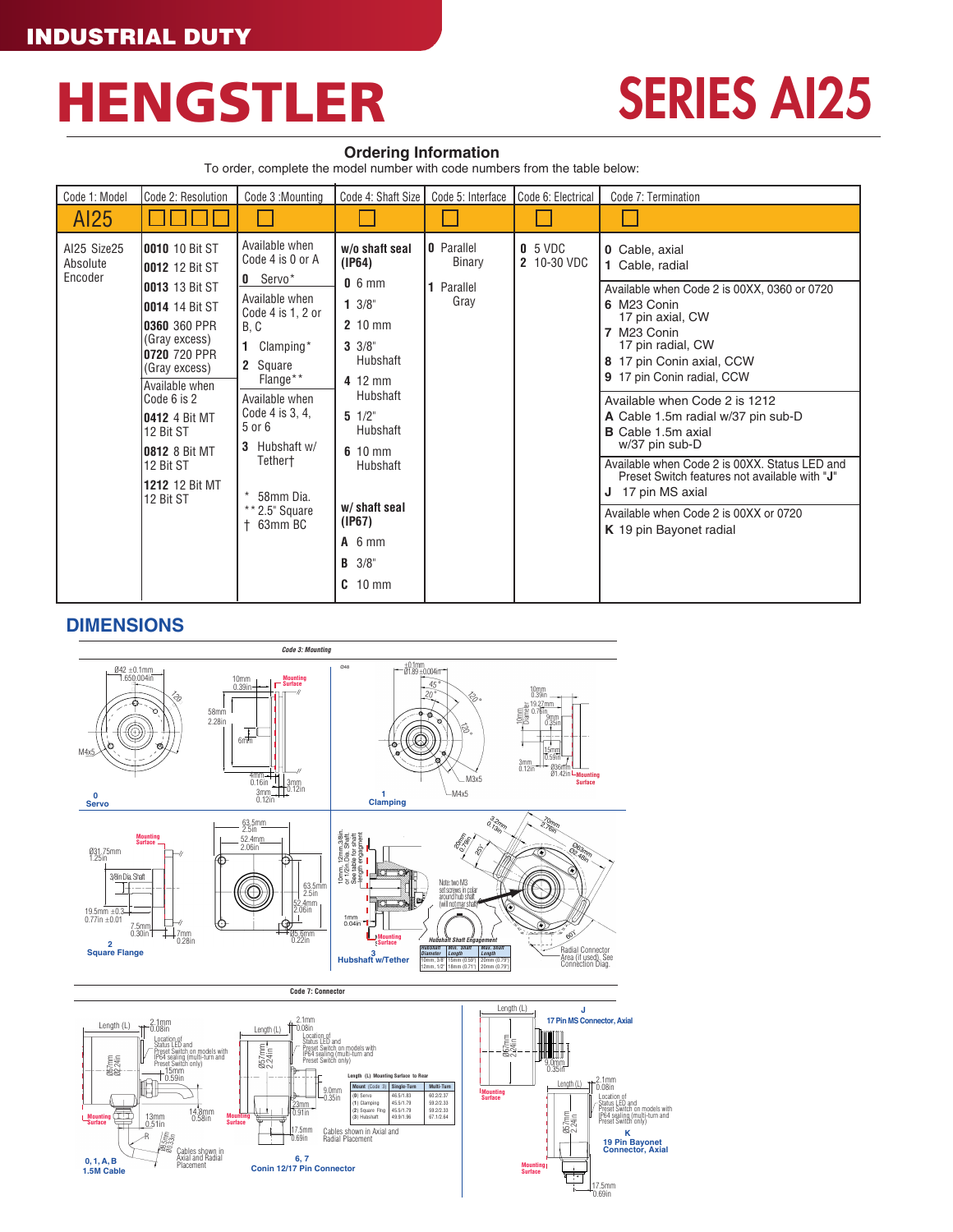## HENGSTLER

## SERIES AI25

#### **Ordering Information**

To order, complete the model number with code numbers from the table below:

| Code 1: Model                      | Code 2: Resolution                                                                                                                                                                                                                                                                                         | Code 3: Mounting                                                                                                                                                                                                                                                               | Code 4: Shaft Size                                                                                                                                                                                                                                    | Code 5: Interface                                        | Code 6: Electrical       | Code 7: Termination                                                                                                                                                                                                                                                                                                                                                                                                                                                                                                                        |
|------------------------------------|------------------------------------------------------------------------------------------------------------------------------------------------------------------------------------------------------------------------------------------------------------------------------------------------------------|--------------------------------------------------------------------------------------------------------------------------------------------------------------------------------------------------------------------------------------------------------------------------------|-------------------------------------------------------------------------------------------------------------------------------------------------------------------------------------------------------------------------------------------------------|----------------------------------------------------------|--------------------------|--------------------------------------------------------------------------------------------------------------------------------------------------------------------------------------------------------------------------------------------------------------------------------------------------------------------------------------------------------------------------------------------------------------------------------------------------------------------------------------------------------------------------------------------|
| AI25                               |                                                                                                                                                                                                                                                                                                            |                                                                                                                                                                                                                                                                                |                                                                                                                                                                                                                                                       |                                                          |                          |                                                                                                                                                                                                                                                                                                                                                                                                                                                                                                                                            |
| Al25 Size25<br>Absolute<br>Encoder | <b>10010</b> 10 Bit ST<br><b>10012</b> 12 Bit ST<br><b>10013</b> 13 Bit ST<br>0014 14 Bit ST<br>0360 360 PPR<br>(Gray excess)<br>0720 720 PPR<br>(Gray excess)<br>Available when<br>Code 6 is 2<br><b>10412</b> 4 Bit MT<br>12 Bit ST<br><b>10812</b> 8 Bit MT<br>12 Bit ST<br>1212 12 Bit MT<br>12 Bit ST | Available when<br>Code 4 is 0 or A<br>$0$ Servo*<br>Available when<br>Code 4 is 1, 2 or<br>B, C<br>Clamping*<br>2 Square<br>Flange**<br>Available when<br>Code 4 is 3, 4,<br>5 or 6<br>Hubshaft w/<br>3<br>Tether†<br>$\star$<br>58mm Dia.<br>$*$ * 2.5" Square<br>$+63$ mm BC | w/o shaft seal<br>(IP64)<br>$0.6$ mm<br>$1 \frac{3}{8}$<br>2 10 mm<br>$3 \frac{3}{8}$<br>Hubshaft<br>4 12 mm<br>Hubshaft<br>$5 \frac{1}{2}$<br>Hubshaft<br>$610$ mm<br>Hubshaft<br>w/shaft seal<br>(IP67)<br>$A$ 6 mm<br>$B \frac{3}{8}$<br>$C$ 10 mm | <b>0</b> Parallel<br><b>Binary</b><br>1 Parallel<br>Gray | $0.5$ VDC<br>2 10-30 VDC | <b>0</b> Cable, axial<br>1 Cable, radial<br>Available when Code 2 is 00XX, 0360 or 0720<br>6 M23 Conin<br>17 pin axial, CW<br>7 M23 Conin<br>17 pin radial, CW<br>8 17 pin Conin axial, CCW<br>9 17 pin Conin radial, CCW<br>Available when Code 2 is 1212<br>A Cable 1.5m radial w/37 pin sub-D<br><b>B</b> Cable 1.5m axial<br>w/37 pin sub-D<br>Available when Code 2 is 00XX. Status LED and<br>Preset Switch features not available with "J"<br>J 17 pin MS axial<br>Available when Code 2 is 00XX or 0720<br>K 19 pin Bayonet radial |

17.5mm 0.69in

**Mounting Surface**

#### **DIMENSIONS**

**0, 1, A, B 1.5M Cable** 



**6, 7 Conin 12/17 Pin Connector**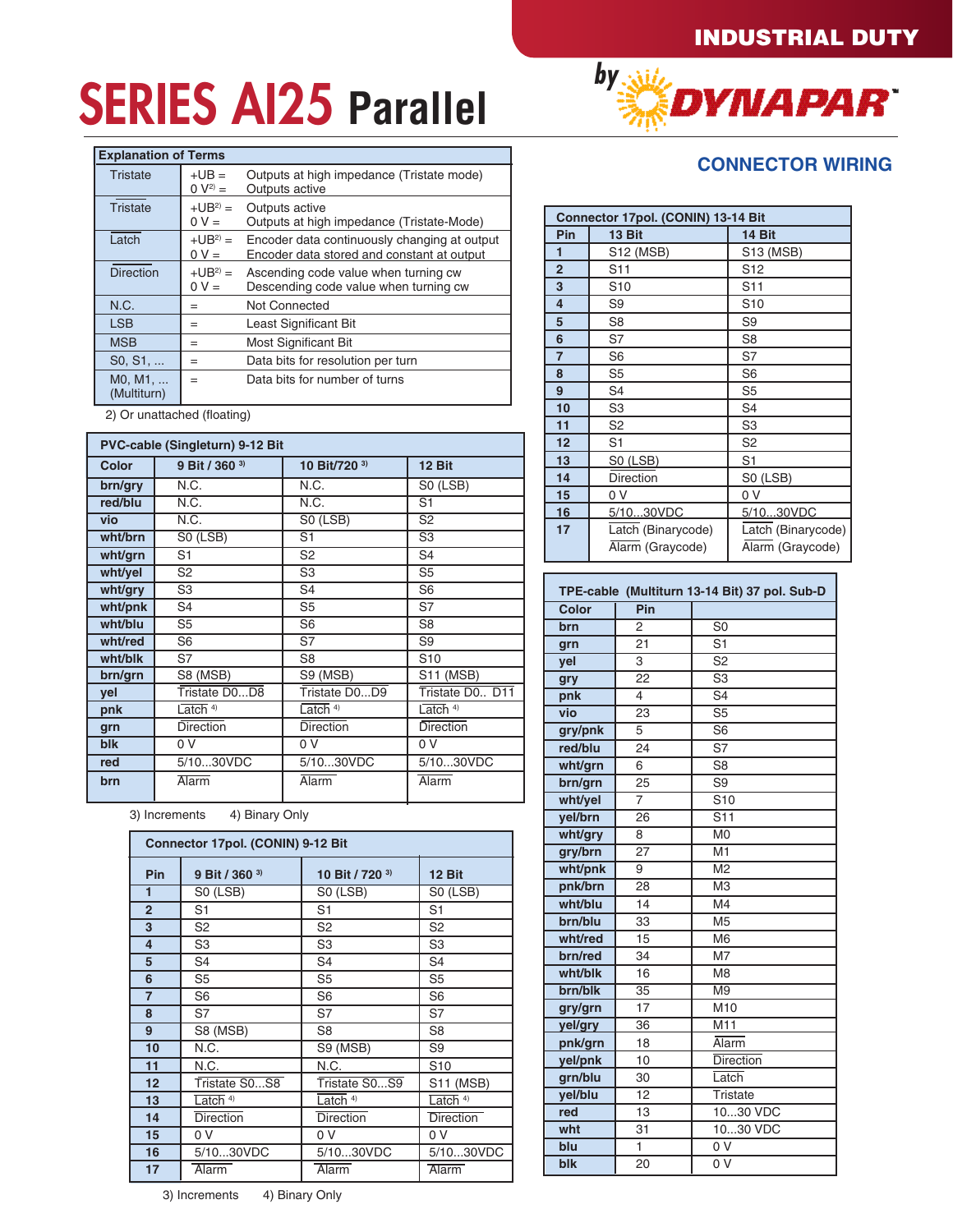# **SERIES AI25 Parallel** *by by by by by by by by by by by by by by by by by by by by by by by by by by by by by*

| <b>Explanation of Terms</b> |                        |                                                                                            |
|-----------------------------|------------------------|--------------------------------------------------------------------------------------------|
| Tristate                    | $+UB =$<br>$0 V^{2} =$ | Outputs at high impedance (Tristate mode)<br>Outputs active                                |
| <b>Tristate</b>             | $+UB2 =$<br>$0 V =$    | Outputs active<br>Outputs at high impedance (Tristate-Mode)                                |
| Latch                       | $+UB2 =$<br>$0 V =$    | Encoder data continuously changing at output<br>Encoder data stored and constant at output |
| <b>Direction</b>            | $+UB2 =$<br>$0 V =$    | Ascending code value when turning cw<br>Descending code value when turning cw              |
| N.C.                        | $=$                    | Not Connected                                                                              |
| <b>LSB</b>                  | $=$                    | Least Significant Bit                                                                      |
| <b>MSB</b>                  | $=$                    | <b>Most Significant Bit</b>                                                                |
| S0, S1,                     | $=$                    | Data bits for resolution per turn                                                          |
| MO, M1,<br>(Multiturn)      | $=$                    | Data bits for number of turns                                                              |

2) Or unattached (floating)

|         | PVC-cable (Singleturn) 9-12 Bit |                  |                          |
|---------|---------------------------------|------------------|--------------------------|
| Color   | 9 Bit / 360 <sup>3)</sup>       | 10 Bit/720 3)    | 12 Bit                   |
| brn/gry | N.C.                            | N.C.             | S0 (LSB)                 |
| red/blu | N.C.                            | N.C.             | S <sub>1</sub>           |
| vio     | N.C.                            | S0 (LSB)         | $\overline{S2}$          |
| wht/brn | SO(LSB)                         | $\overline{S1}$  | $\overline{\mathsf{S3}}$ |
| wht/grn | S <sub>1</sub>                  | S <sub>2</sub>   | S <sub>4</sub>           |
| wht/yel | S <sub>2</sub>                  | S <sub>3</sub>   | S <sub>5</sub>           |
| wht/gry | S <sub>3</sub>                  | S4               | S <sub>6</sub>           |
| wht/pnk | S <sub>4</sub>                  | S <sub>5</sub>   | S7                       |
| wht/blu | S <sub>5</sub>                  | S <sub>6</sub>   | S <sub>8</sub>           |
| wht/red | S <sub>6</sub>                  | S7               | S <sub>9</sub>           |
| wht/blk | S7                              | S8               | S <sub>10</sub>          |
| brn/grn | S8 (MSB)                        | S9 (MSB)         | <b>S11 (MSB)</b>         |
| vel     | Tristate DOD8                   | Tristate DOD9    | Tristate D0 D11          |
| pnk     | Latch $4)$                      | Latch $4)$       | Latch $4)$               |
| grn     | <b>Direction</b>                | <b>Direction</b> | <b>Direction</b>         |
| blk     | 0 V                             | 0 <sup>V</sup>   | 0 V                      |
| red     | 5/1030VDC                       | 5/1030VDC        | 5/1030VDC                |
| brn     | Alarm                           | Alarm            | Alarm                    |

3) Increments 4) Binary Only

|                | Connector 17pol. (CONIN) 9-12 Bit |                  |                                         |  |  |
|----------------|-----------------------------------|------------------|-----------------------------------------|--|--|
| Pin            | 9 Bit / 360 <sup>3)</sup>         | 10 Bit / 720 3)  | 12 Bit                                  |  |  |
| 1              | S0 (LSB)                          | S0 (LSB)         | S0 (LSB)                                |  |  |
| $\overline{2}$ | S <sub>1</sub>                    | S <sub>1</sub>   | S <sub>1</sub>                          |  |  |
| 3              | S <sub>2</sub>                    | S <sub>2</sub>   | S <sub>2</sub>                          |  |  |
| 4              | S <sub>3</sub>                    | S <sub>3</sub>   | S <sub>3</sub>                          |  |  |
| 5              | S4                                | S <sub>4</sub>   | S <sub>4</sub>                          |  |  |
| 6              | S <sub>5</sub>                    | S <sub>5</sub>   | S5                                      |  |  |
| $\overline{7}$ | S <sub>6</sub>                    | S <sub>6</sub>   | S <sub>6</sub>                          |  |  |
| 8              | S7                                | S7               | S7                                      |  |  |
| 9              | S8 (MSB)                          | S <sub>8</sub>   | S <sub>8</sub>                          |  |  |
| 10             | N.C.                              | S9 (MSB)         | S <sub>9</sub>                          |  |  |
| 11             | N.C.                              | N.C.             | S <sub>10</sub>                         |  |  |
| 12             | Tristate S0S8                     | Tristate S0S9    | S11 (MSB)                               |  |  |
| 13             | $Latch$ <sup>4)</sup>             | Latch $4)$       | $\overline{\text{Latch}}$ <sup>4)</sup> |  |  |
| 14             | <b>Direction</b>                  | <b>Direction</b> | <b>Direction</b>                        |  |  |
| 15             | 0 V                               | 0 V              | 0 V                                     |  |  |
| 16             | 5/1030VDC                         | 5/1030VDC        | 5/1030VDC                               |  |  |
| 17             | Alarm                             | Alarm            | Alarm                                   |  |  |

### **CONNECTOR WIRING**

|                | Connector 17pol. (CONIN) 13-14 Bit |                    |  |  |  |
|----------------|------------------------------------|--------------------|--|--|--|
| Pin            | 13 Bit                             | 14 Bit             |  |  |  |
| 1              | S12 (MSB)                          | S13 (MSB)          |  |  |  |
| $\overline{2}$ | S <sub>11</sub>                    | S <sub>12</sub>    |  |  |  |
| 3              | S <sub>10</sub>                    | S11                |  |  |  |
| $\overline{4}$ | S9                                 | S <sub>10</sub>    |  |  |  |
| 5              | S <sub>8</sub>                     | S <sub>9</sub>     |  |  |  |
| 6              | S7                                 | S <sub>8</sub>     |  |  |  |
| 7              | S <sub>6</sub>                     | S7                 |  |  |  |
| 8              | S <sub>5</sub>                     | S <sub>6</sub>     |  |  |  |
| 9              | S4                                 | S5                 |  |  |  |
| 10             | S <sub>3</sub>                     | S <sub>4</sub>     |  |  |  |
| 11             | S <sub>2</sub>                     | S <sub>3</sub>     |  |  |  |
| 12             | S1                                 | S <sub>2</sub>     |  |  |  |
| 13             | S0 (LSB)                           | S <sub>1</sub>     |  |  |  |
| 14             | <b>Direction</b>                   | S0 (LSB)           |  |  |  |
| 15             | 0 V                                | 0 V                |  |  |  |
| 16             | 5/1030VDC                          | 5/1030VDC          |  |  |  |
| 17             | Latch (Binarycode)                 | Latch (Binarycode) |  |  |  |
|                | Alarm (Graycode)                   | Alarm (Graycode)   |  |  |  |

|         |                 | TPE-cable (Multiturn 13-14 Bit) 37 pol. Sub-D |
|---------|-----------------|-----------------------------------------------|
| Color   | Pin             |                                               |
| brn     | 2               | S <sub>0</sub>                                |
| grn     | 21              | $\overline{S1}$                               |
| yel     | 3               | $\overline{S2}$                               |
| gry     | 22              | $\overline{\text{S3}}$                        |
| pnk     | 4               | S <sub>4</sub>                                |
| vio     | 23              | $\overline{\mathsf{S5}}$                      |
| gry/pnk | 5               | $\overline{\mathsf{S6}}$                      |
| red/blu | 24              | S7                                            |
| wht/grn | 6               | S <sub>8</sub>                                |
| brn/grn | 25              | S9                                            |
| wht/yel | 7               | $\overline{S10}$                              |
| yel/brn | 26              | S <sub>11</sub>                               |
| wht/gry | 8               | M <sub>0</sub>                                |
| gry/brn | $\overline{27}$ | $\overline{M1}$                               |
| wht/pnk | 9               | M <sub>2</sub>                                |
| pnk/brn | 28              | M <sub>3</sub>                                |
| wht/blu | 14              | M4                                            |
| brn/blu | 33              | M <sub>5</sub>                                |
| wht/red | 15              | M <sub>6</sub>                                |
| brn/red | 34              | M7                                            |
| wht/blk | 16              | M <sub>8</sub>                                |
| brn/blk | $\overline{35}$ | $\overline{M9}$                               |
| gry/grn | 17              | M <sub>10</sub>                               |
| yel/gry | 36              | M11                                           |
| pnk/grn | 18              | Alarm                                         |
| yel/pnk | 10              | <b>Direction</b>                              |
| grn/blu | 30              | Latch                                         |
| yel/blu | $\overline{12}$ | <b>Tristate</b>                               |
| red     | 13              | 1030 VDC                                      |
| wht     | 31              | 1030 VDC                                      |
| blu     | 1               | 0V                                            |
| blk     | 20              | 0 <sub>V</sub>                                |

3) Increments 4) Binary Only